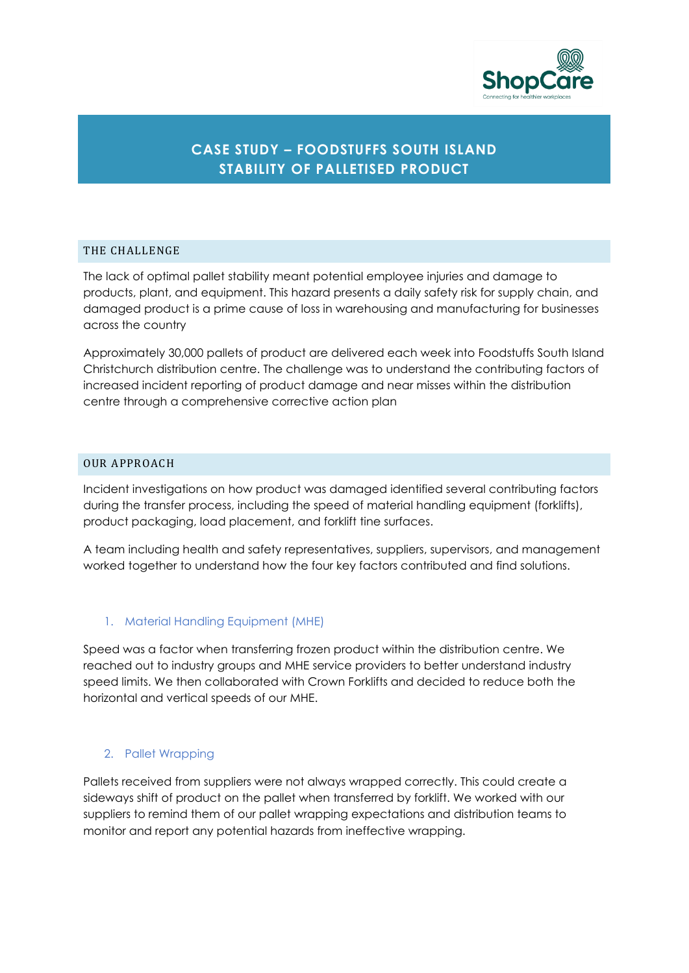

# **CASE STUDY – FOODSTUFFS SOUTH ISLAND STABILITY OF PALLETISED PRODUCT**

#### THE CHALLENGE

The lack of optimal pallet stability meant potential employee injuries and damage to products, plant, and equipment. This hazard presents a daily safety risk for supply chain, and damaged product is a prime cause of loss in warehousing and manufacturing for businesses across the country

Approximately 30,000 pallets of product are delivered each week into Foodstuffs South Island Christchurch distribution centre. The challenge was to understand the contributing factors of increased incident reporting of product damage and near misses within the distribution centre through a comprehensive corrective action plan

# OUR APPROACH

Incident investigations on how product was damaged identified several contributing factors during the transfer process, including the speed of material handling equipment (forklifts), product packaging, load placement, and forklift tine surfaces.

A team including health and safety representatives, suppliers, supervisors, and management worked together to understand how the four key factors contributed and find solutions.

# 1. Material Handling Equipment (MHE)

Speed was a factor when transferring frozen product within the distribution centre. We reached out to industry groups and MHE service providers to better understand industry speed limits. We then collaborated with Crown Forklifts and decided to reduce both the horizontal and vertical speeds of our MHE.

#### 2. Pallet Wrapping

Pallets received from suppliers were not always wrapped correctly. This could create a sideways shift of product on the pallet when transferred by forklift. We worked with our suppliers to remind them of our pallet wrapping expectations and distribution teams to monitor and report any potential hazards from ineffective wrapping.